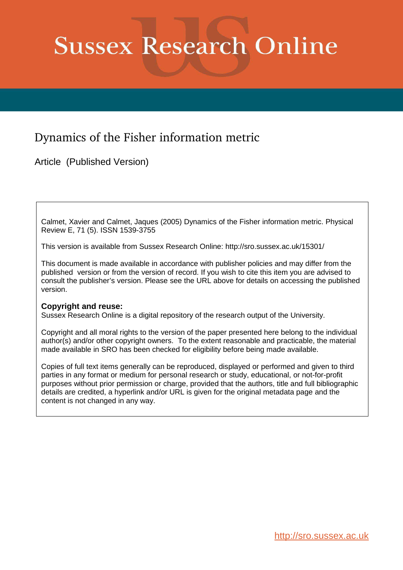# **Sussex Research Online**

## Dynamics of the Fisher information metric

Article (Published Version)

Calmet, Xavier and Calmet, Jaques (2005) Dynamics of the Fisher information metric. Physical Review E, 71 (5). ISSN 1539-3755

This version is available from Sussex Research Online: http://sro.sussex.ac.uk/15301/

This document is made available in accordance with publisher policies and may differ from the published version or from the version of record. If you wish to cite this item you are advised to consult the publisher's version. Please see the URL above for details on accessing the published version.

### **Copyright and reuse:**

Sussex Research Online is a digital repository of the research output of the University.

Copyright and all moral rights to the version of the paper presented here belong to the individual author(s) and/or other copyright owners. To the extent reasonable and practicable, the material made available in SRO has been checked for eligibility before being made available.

Copies of full text items generally can be reproduced, displayed or performed and given to third parties in any format or medium for personal research or study, educational, or not-for-profit purposes without prior permission or charge, provided that the authors, title and full bibliographic details are credited, a hyperlink and/or URL is given for the original metadata page and the content is not changed in any way.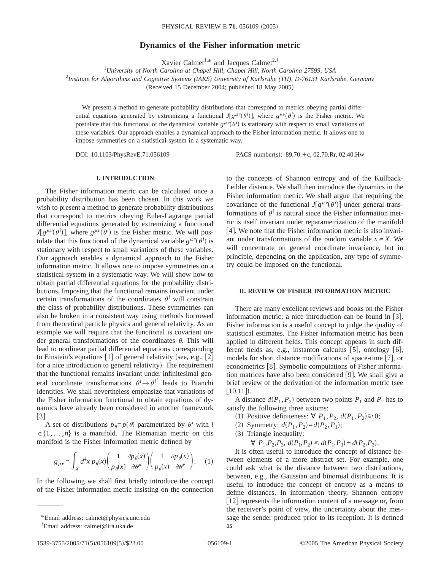#### **Dynamics of the Fisher information metric**

Xavier Calmet<sup>1,\*</sup> and Jacques Calmet<sup>2,†</sup>

<sup>1</sup>*University of North Carolina at Chapel Hill, Chapel Hill, North Carolina 27599, USA*

2 *Institute for Algorithms and Cognitive Systems (IAKS) University of Karlsruhe (TH), D-76131 Karlsruhe, Germany*

 $(Received 15 December 2004; published 18 May 2005)$ 

We present a method to generate probability distributions that correspond to metrics obeying partial differential equations generated by extremizing a functional  $J[g^{\mu\nu}(\theta)]$ , where  $g^{\mu\nu}(\theta)$  is the Fisher metric. We postulate that this functional of the dynamical variable  $g^{\mu\nu}(\theta^i)$  is stationary with respect to small variations of these variables. Our approach enables a dynamical approach to the Fisher information metric. It allows one to impose symmetries on a statistical system in a systematic way.

DOI: 10.1103/PhysRevE.71.056109 PACS number(s): 89.70.+c, 02.70.Rr, 02.40.Hw

#### **I. INTRODUCTION**

The Fisher information metric can be calculated once a probability distribution has been chosen. In this work we wish to present a method to generate probability distributions that correspond to metrics obeying Euler-Lagrange partial differential equations generated by extremizing a functional  $J[g^{\mu\nu}(\theta^i)]$ , where  $g^{\mu\nu}(\theta^i)$  is the Fisher metric. We will postulate that this functional of the dynamical variable  $g^{\mu\nu}(\theta)$  is stationary with respect to small variations of these variables. Our approach enables a dynamical approach to the Fisher information metric. It allows one to impose symmetries on a statistical system in a systematic way. We will show how to obtain partial differential equations for the probability distributions. Imposing that the functional remains invariant under certain transformations of the coordinates  $\theta^i$  will constrain the class of probability distributions. These symmetries can also be broken in a consistent way using methods borrowed from theoretical particle physics and general relativity. As an example we will require that the functional is covariant under general transformations of the coordinates  $\theta$ . This will lead to nonlinear partial differential equations corresponding to Einstein's equations  $\lceil 1 \rceil$  of general relativity (see, e.g.,  $\lceil 2 \rceil$ ) for a nice introduction to general relativity). The requirement that the functional remains invariant under infinitesimal general coordinate transformations  $\theta^i \rightarrow \theta^{i'}$  leads to Bianchi identities. We shall nevertheless emphasize that variations of the Fisher information functional to obtain equations of dynamics have already been considered in another framework  $|3|$ .

A set of distributions  $p_{\theta} = p(\theta)$  parametrized by  $\theta^{i}$  with *i*  $\in \{1, \ldots, n\}$  is a manifold. The Riemanian metric on this manifold is the Fisher information metric defined by

$$
g_{\mu\nu} = \int_X d^4x \, p_\theta(x) \bigg(\frac{1}{p_\theta(x)} \frac{\partial p_\theta(x)}{\partial \theta^\mu}\bigg) \bigg(\frac{1}{p_\theta(x)} \frac{\partial p_\theta(x)}{\partial \theta^\nu}\bigg). \tag{1}
$$

In the following we shall first briefly introduce the concept of the Fisher information metric insisting on the connection to the concepts of Shannon entropy and of the Kullback-Leibler distance. We shall then introduce the dynamics in the Fisher information metric. We shall argue that requiring the covariance of the functional  $J[g^{\mu\nu}(\theta^i)]$  under general transformations of  $\theta^i$  is natural since the Fisher information metric is itself invariant under reparametrization of the manifold  $[4]$ . We note that the Fisher information metric is also invariant under transformations of the random variable  $x \in X$ . We will concentrate on general coordinate invariance, but in principle, depending on the application, any type of symmetry could be imposed on the functional.

#### **II. REVIEW OF FISHER INFORMATION METRIC**

There are many excellent reviews and books on the Fisher information metric; a nice introduction can be found in  $\lceil 3 \rceil$ . Fisher information is a useful concept to judge the quality of statistical estimates. The Fisher information metric has been applied in different fields. This concept appears in such different fields as, e.g., instanton calculus  $[5]$ , ontology  $[6]$ , models for short distance modifications of space-time  $[7]$ , or econometrics [8]. Symbolic computations of Fisher information matrices have also been considered  $[9]$ . We shall give a brief review of the derivation of the information metric (see  $[10,11]$ .

A distance  $d(P_1, P_2)$  between two points  $P_1$  and  $P_2$  has to satisfy the following three axioms:

- (1) Positive definiteness: ∀  $P_1$ ,  $P_2$ ,  $d(P_1, P_2) \ge 0$ ;
- (2) Symmetry:  $d(P_1, P_2) = d(P_2, P_1);$
- $(3)$  Triangle inequality:

 $\forall P_1, P_2, P_3, d(P_1, P_2) \leq d(P_1, P_3) + d(P_2, P_3).$ 

It is often useful to introduce the concept of distance between elements of a more abstract set. For example, one could ask what is the distance between two distributions, between, e.g., the Gaussian and binomial distributions. It is useful to introduce the concept of entropy as a means to define distances. In information theory, Shannon entropy [12] represents the information content of a message or, from the receiver's point of view, the uncertainty about the message the sender produced prior to its reception. It is defined as

<sup>\*</sup>Email address: calmet@physics.unc.edu

<sup>†</sup> Email address: calmet@ira.uka.de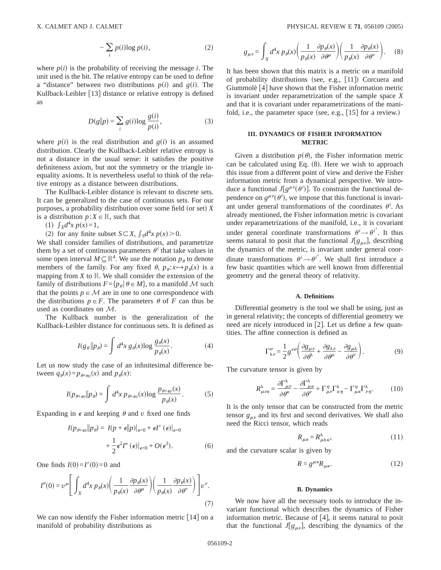$$
-\sum_{i} p(i)\log p(i),\tag{2}
$$

where  $p(i)$  is the probability of receiving the message *i*. The unit used is the bit. The relative entropy can be used to define a "distance" between two distributions  $p(i)$  and  $g(i)$ . The Kullback-Leibler [13] distance or relative entropy is defined as

$$
D(g||p) = \sum_{i} g(i)\log \frac{g(i)}{p(i)},
$$
\n(3)

where  $p(i)$  is the real distribution and  $g(i)$  is an assumed distribution. Clearly the Kullback-Leibler relative entropy is not a distance in the usual sense: it satisfies the positive definiteness axiom, but not the symmetry or the triangle inequality axioms. It is nevertheless useful to think of the relative entropy as a distance between distributions.

The Kullback-Leibler distance is relevant to discrete sets. It can be generalized to the case of continuous sets. For our purposes, a probability distribution over some field (or set)  $X$ is a distribution  $p: X \in \mathbb{R}$ , such that

(1)  $\int_X d^4x \, p(x) = 1$ ,

(2) for any finite subset  $S \subset X$ ,  $\int_S d^4x \, p(x) > 0$ .

We shall consider families of distributions, and parametrize them by a set of continuous parameters  $\theta^i$  that take values in some open interval  $M \subseteq \mathbb{R}^4$ . We use the notation  $p_{\theta}$  to denote members of the family. For any fixed  $\theta$ ,  $p_{\theta}: x \mapsto p_{\theta}(x)$  is a mapping from  $X$  to  $\mathbb R$ . We shall consider the extension of the family of distributions  $F = \{p_{\theta} | \theta \in M\}$ , to a manifold M such that the points  $p \in M$  are in one to one correspondence with the distributions  $p \in F$ . The parameters  $\theta$  of *F* can thus be used as coordinates on M.

The Kullback number is the generalization of the Kullback-Leibler distance for continuous sets. It is defined as

$$
I(g_{\theta} \| p_{\theta}) = \int d^4x \, g_{\theta}(x) \log \frac{g_{\theta}(x)}{p_{\theta}(x)}.
$$
 (4)

Let us now study the case of an infinitesimal difference between  $q_{\theta}(x) = p_{\theta + \epsilon v}(x)$  and  $p_{\theta}(x)$ :

$$
I(p_{\theta+\epsilon v}||p_{\theta}) = \int d^4x \, p_{\theta+\epsilon v}(x) \log \frac{p_{\theta+\epsilon v}(x)}{p_{\theta}(x)}.
$$
 (5)

Expanding in  $\epsilon$  and keeping  $\theta$  and  $\nu$  fixed one finds

$$
I(p_{\theta+\epsilon v}||p_{\theta}) = I(p+\epsilon||p)|_{\epsilon=0} + \epsilon I'(\epsilon)|_{\epsilon=0}
$$

$$
+ \frac{1}{2}\epsilon^2 I''(\epsilon)|_{\epsilon=0} + O(\epsilon^3). \tag{6}
$$

One finds  $I(0)=I'(0)=0$  and

$$
I''(0) = \nu^{\mu} \left[ \int_{X} d^{4}x \, p_{\theta}(x) \left( \frac{1}{p_{\theta}(x)} \frac{\partial p_{\theta}(x)}{\partial \theta^{\mu}} \right) \left( \frac{1}{p_{\theta}(x)} \frac{\partial p_{\theta}(x)}{\partial \theta^{\nu}} \right) \right] \nu^{\nu}.
$$
\n(7)

We can now identify the Fisher information metric  $[14]$  on a manifold of probability distributions as

$$
g_{\mu\nu} = \int_X d^4x \, p_\theta(x) \bigg(\frac{1}{p_\theta(x)} \frac{\partial p_\theta(x)}{\partial \theta^\mu}\bigg) \bigg(\frac{1}{p_\theta(x)} \frac{\partial p_\theta(x)}{\partial \theta^\nu}\bigg). \tag{8}
$$

It has been shown that this matrix is a metric on a manifold of probability distributions (see, e.g.,  $[11]$ ) Corcuera and Giummolè  $[4]$  have shown that the Fisher information metric is invariant under reparametrization of the sample space *X* and that it is covariant under reparametrizations of the manifold, i.e., the parameter space (see, e.g.,  $[15]$  for a review.)

#### **III. DYNAMICS OF FISHER INFORMATION METRIC**

Given a distribution  $p(\theta)$ , the Fisher information metric can be calculated using Eq.  $(8)$ . Here we wish to approach this issue from a different point of view and derive the Fisher information metric from a dynamical perspective. We introduce a functional  $J[g^{\mu\nu}(\theta)]$ . To constrain the functional dependence on  $g^{\mu\nu}(\theta^i)$ , we impose that this functional is invariant under general transformations of the coordinates  $\theta^i$ . As already mentioned, the Fisher information metric is covariant under reparametrizations of the manifold, i.e., it is covariant under general coordinate transformations  $\theta^i \rightarrow \theta^{i'}$ . It thus seems natural to posit that the functional  $J[g_{\mu\nu}]$ , describing the dynamics of the metric, is invariant under general coordinate transformations  $\theta^i \rightarrow \theta^{i'}$ . We shall first introduce a few basic quantities which are well known from differential geometry and the general theory of relativity.

#### **A. Definitions**

Differential geometry is the tool we shall be using, just as in general relativity; the concepts of differential geometry we need are nicely introduced in  $[2]$ . Let us define a few quantities. The affine connection is defined as

$$
\Gamma^{\sigma}_{\lambda\nu} = \frac{1}{2} g^{\nu\sigma} \left( \frac{\partial g_{\mu\nu}}{\partial \theta^{\lambda}} + \frac{\partial g_{\lambda\nu}}{\partial \theta^{\mu}} - \frac{\partial g_{\mu\lambda}}{\partial \theta^{\nu}} \right). \tag{9}
$$

The curvature tensor is given by

$$
R^{\lambda}_{\mu\nu\kappa} = \frac{\partial \Gamma^{\lambda}_{\mu\nu}}{\partial \theta^{\kappa}} - \frac{\partial \Gamma^{\lambda}_{\mu\kappa}}{\partial \theta^{\nu}} + \Gamma^{\eta}_{\mu\nu} \Gamma^{\lambda}_{\kappa\eta} - \Gamma^{\eta}_{\mu\kappa} \Gamma^{\lambda}_{\nu\eta}.
$$
 (10)

It is the only tensor that can be constructed from the metric tensor  $g_{\mu\nu}$  and its first and second derivatives. We shall also need the Ricci tensor, which reads

$$
R_{\mu\kappa} = R^{\lambda}_{\mu\lambda\kappa},\tag{11}
$$

and the curvature scalar is given by

$$
R = g^{\mu\kappa} R_{\mu\kappa}.\tag{12}
$$

#### **B. Dynamics**

We now have all the necessary tools to introduce the invariant functional which describes the dynamics of Fisher information metric. Because of  $[4]$ , it seems natural to posit that the functional  $J[g_{\mu\nu}]$ , describing the dynamics of the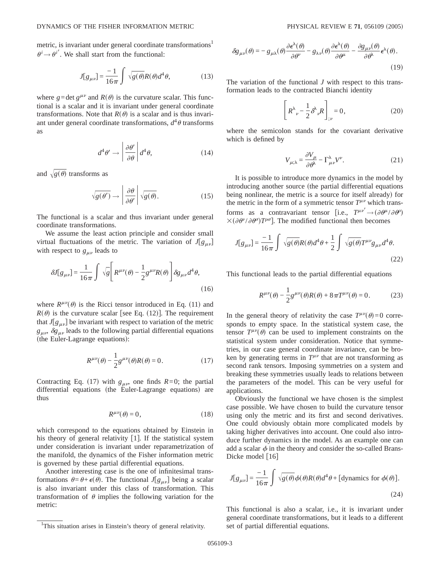metric, is invariant under general coordinate transformations<sup>1</sup>  $\theta^i \rightarrow \theta^{i'}$ . We shall start from the functional:

$$
J[g_{\mu\nu}] = \frac{-1}{16\pi} \int \sqrt{g(\theta)} R(\theta) d^4\theta,
$$
 (13)

where  $g = \det g^{\mu\nu}$  and  $R(\theta)$  is the curvature scalar. This functional is a scalar and it is invariant under general coordinate transformations. Note that  $R(\theta)$  is a scalar and is thus invariant under general coordinate transformations,  $d^4\theta$  transforms as

$$
d^4\theta' \to \left| \frac{\partial \theta'}{\partial \theta} \right| d^4\theta, \tag{14}
$$

and  $\sqrt{g(\theta)}$  transforms as

$$
\sqrt{g(\theta')} \to \left| \frac{\partial \theta}{\partial \theta'} \right| \sqrt{g(\theta)}.
$$
 (15)

The functional is a scalar and thus invariant under general coordinate transformations.

We assume the least action principle and consider small virtual fluctuations of the metric. The variation of  $J[g_{\mu\nu}]$ with respect to  $g_{\mu\nu}$  leads to

$$
\delta J[g_{\mu\nu}] = \frac{1}{16\pi} \int \sqrt{g} \left[ R^{\mu\nu}(\theta) - \frac{1}{2} g^{\mu\nu} R(\theta) \right] \delta g_{\mu\nu} d^4 \theta,
$$
\n(16)

where  $R^{\mu\nu}(\theta)$  is the Ricci tensor introduced in Eq. (11) and  $R(\theta)$  is the curvature scalar [see Eq. (12)]. The requirement that  $J[g_{\mu\nu}]$  be invariant with respect to variation of the metric  $g_{\mu\nu}$ ,  $\delta g_{\mu\nu}$  leads to the following partial differential equations (the Euler-Lagrange equations):

$$
R^{\mu\nu}(\theta) - \frac{1}{2}g^{\mu\nu}(\theta)R(\theta) = 0.
$$
 (17)

Contracting Eq. (17) with  $g_{\mu\nu}$ , one finds  $R=0$ ; the partial differential equations (the Euler-Lagrange equations) are thus

$$
R^{\mu\nu}(\theta) = 0,\t\t(18)
$$

which correspond to the equations obtained by Einstein in his theory of general relativity  $\lceil 1 \rceil$ . If the statistical system under consideration is invariant under reparametrization of the manifold, the dynamics of the Fisher information metric is governed by these partial differential equations.

Another interesting case is the one of infinitesimal transformations  $\theta = \theta + \epsilon(\theta)$ . The functional *J*[ $g_{\mu\nu}$ ] being a scalar is also invariant under this class of transformation. This transformation of  $\theta$  implies the following variation for the metric:

$$
\delta g_{\mu\nu}(\theta) = -g_{\mu\lambda}(\theta) \frac{\partial \epsilon^{\lambda}(\theta)}{\partial \theta^{\nu}} - g_{\lambda\nu}(\theta) \frac{\partial \epsilon^{\lambda}(\theta)}{\partial \theta^{\mu}} - \frac{\partial g_{\mu\nu}(\theta)}{\partial \theta^{\lambda}} \epsilon^{\lambda}(\theta). \tag{19}
$$

The variation of the functional *J* with respect to this transformation leads to the contracted Bianchi identity

$$
\left[ R^{\lambda}{}_{\nu} - \frac{1}{2} \delta^{\lambda}{}_{\nu} R \right]_{;\nu} = 0, \tag{20}
$$

where the semicolon stands for the covariant derivative which is defined by

$$
V_{\mu;\lambda} = \frac{\partial V_{\mu}}{\partial \theta} - \Gamma^{\lambda}_{\mu\nu} V^{\nu}.
$$
 (21)

It is possible to introduce more dynamics in the model by introducing another source (the partial differential equations being nonlinear, the metric is a source for itself already) for the metric in the form of a symmetric tensor  $T^{\mu\nu}$  which transforms as a contravariant tensor [i.e.,  $T^{\mu\nu'} \rightarrow (\partial \theta^{\mu}/\partial \theta^{\rho})$  $\times (\partial \theta^{\nu}/\partial \theta^{\sigma})T^{\rho\sigma}$ . The modified functional then becomes

$$
J[g_{\mu\nu}] = \frac{-1}{16\pi} \int \sqrt{g(\theta)} R(\theta) d^4 \theta + \frac{1}{2} \int \sqrt{g(\theta)} T^{\mu\nu} g_{\mu\nu} d^4 \theta.
$$
\n(22)

This functional leads to the partial differential equations

$$
R^{\mu\nu}(\theta) - \frac{1}{2}g^{\mu\nu}(\theta)R(\theta) + 8\pi T^{\mu\nu}(\theta) = 0.
$$
 (23)

In the general theory of relativity the case  $T^{\mu\nu}(\theta) = 0$  corresponds to empty space. In the statistical system case, the tensor  $T^{\mu\nu}(\theta)$  can be used to implement constraints on the statistical system under consideration. Notice that symmetries, in our case general coordinate invariance, can be broken by generating terms in  $T^{\mu\nu}$  that are not transforming as second rank tensors. Imposing symmetries on a system and breaking these symmetries usually leads to relations between the parameters of the model. This can be very useful for applications.

Obviously the functional we have chosen is the simplest case possible. We have chosen to build the curvature tensor using only the metric and its first and second derivatives. One could obviously obtain more complicated models by taking higher derivatives into account. One could also introduce further dynamics in the model. As an example one can add a scalar  $\phi$  in the theory and consider the so-called Brans-Dicke model  $\lceil 16 \rceil$ 

$$
J[g_{\mu\nu}] = \frac{-1}{16\pi} \int \sqrt{g(\theta)} \phi(\theta) R(\theta) d^4 \theta + \text{[dynamics for } \phi(\theta)\text{]}.
$$
\n(24)

This functional is also a scalar, i.e., it is invariant under general coordinate transformations, but it leads to a different

<sup>&</sup>lt;sup>1</sup>This situation arises in Einstein's theory of general relativity. set of partial differential equations.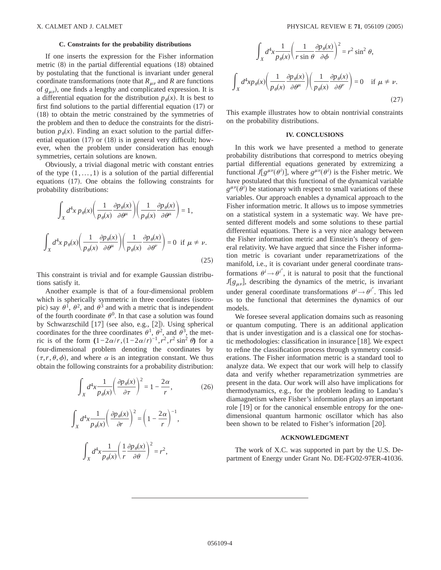#### **C. Constraints for the probability distributions**

If one inserts the expression for the Fisher information metric  $(8)$  in the partial differential equations  $(18)$  obtained by postulating that the functional is invariant under general coordinate transformations (note that  $R_{\mu\nu}$  and *R* are functions of  $g_{\mu\nu}$ , one finds a lengthy and complicated expression. It is a differential equation for the distribution  $p_{\theta}(x)$ . It is best to first find solutions to the partial differential equation  $(17)$  or  $(18)$  to obtain the metric constrained by the symmetries of the problem and then to deduce the constraints for the distribution  $p_{\theta}(x)$ . Finding an exact solution to the partial differential equation  $(17)$  or  $(18)$  is in general very difficult; however, when the problem under consideration has enough symmetries, certain solutions are known.

Obviously, a trivial diagonal metric with constant entries of the type  $(1, \ldots, 1)$  is a solution of the partial differential equations  $(17)$ . One obtains the following constraints for probability distributions:

$$
\int_{X} d^{4}x \, p_{\theta}(x) \left( \frac{1}{p_{\theta}(x)} \frac{\partial p_{\theta}(x)}{\partial \theta^{\mu}} \right) \left( \frac{1}{p_{\theta}(x)} \frac{\partial p_{\theta}(x)}{\partial \theta^{\mu}} \right) = 1,
$$
\n
$$
\int_{X} d^{4}x \, p_{\theta}(x) \left( \frac{1}{p_{\theta}(x)} \frac{\partial p_{\theta}(x)}{\partial \theta^{\mu}} \right) \left( \frac{1}{p_{\theta}(x)} \frac{\partial p_{\theta}(x)}{\partial \theta^{\nu}} \right) = 0 \quad \text{if } \mu \neq \nu.
$$
\n(25)

This constraint is trivial and for example Gaussian distributions satisfy it.

Another example is that of a four-dimensional problem which is spherically symmetric in three coordinates (isotropic) say  $\theta^1$ ,  $\theta^2$ , and  $\theta^3$  and with a metric that is independent of the fourth coordinate  $\theta^0$ . In that case a solution was found by Schwarzschild  $[17]$  (see also, e.g.,  $[2]$ ). Using spherical coordinates for the three coordinates  $\theta^1$ ,  $\theta^2$ , and  $\theta^3$ , the metric is of the form  $(1-2\alpha/r,(1-2\alpha/r)^{-1},r^2,r^2\sin^2\theta)$  for a four-dimensional problem denoting the coordinates by  $(\tau, r, \theta, \phi)$ , and where  $\alpha$  is an integration constant. We thus obtain the following constraints for a probability distribution:

$$
\int_{X} d^{4}x \frac{1}{p_{\theta}(x)} \left( \frac{\partial p_{\theta}(x)}{\partial \tau} \right)^{2} = 1 - \frac{2\alpha}{r},
$$
\n(26)

$$
\int_X d^4x \frac{1}{p_\theta(x)} \left( \frac{\partial p_\theta(x)}{\partial r} \right)^2 = \left( 1 - \frac{2\alpha}{r} \right)^{-1},
$$

$$
\int_X d^4x \frac{1}{p_\theta(x)} \left( \frac{1}{r} \frac{\partial p_\theta(x)}{\partial \theta} \right)^2 = r^2,
$$

$$
\int_{X} d^{4}x \frac{1}{p_{\theta}(x)} \left( \frac{1}{r \sin \theta} \frac{\partial p_{\theta}(x)}{\partial \phi} \right)^{2} = r^{2} \sin^{2} \theta,
$$
\n
$$
\int_{X} d^{4}x p_{\theta}(x) \left( \frac{1}{p_{\theta}(x)} \frac{\partial p_{\theta}(x)}{\partial \theta^{\mu}} \right) \left( \frac{1}{p_{\theta}(x)} \frac{\partial p_{\theta}(x)}{\partial \theta^{\nu}} \right) = 0 \quad \text{if } \mu \neq \nu.
$$
\n(27)

This example illustrates how to obtain nontrivial constraints on the probability distributions.

#### **IV. CONCLUSIONS**

In this work we have presented a method to generate probability distributions that correspond to metrics obeying partial differential equations generated by extremizing a functional  $J[g^{\mu\nu}(\theta^i)]$ , where  $g^{\mu\nu}(\theta^i)$  is the Fisher metric. We have postulated that this functional of the dynamical variable  $g^{\mu\nu}(\theta)$  be stationary with respect to small variations of these variables. Our approach enables a dynamical approach to the Fisher information metric. It allows us to impose symmetries on a statistical system in a systematic way. We have presented different models and some solutions to these partial differential equations. There is a very nice analogy between the Fisher information metric and Einstein's theory of general relativity. We have argued that since the Fisher information metric is covariant under reparametrizations of the manifold, i.e., it is covariant under general coordinate transformations  $\theta^i \rightarrow \theta^{i'}$ , it is natural to posit that the functional  $J[g_{\mu\nu}]$ , describing the dynamics of the metric, is invariant under general coordinate transformations  $\theta^i \rightarrow \theta^{i'}$ . This led us to the functional that determines the dynamics of our models.

We foresee several application domains such as reasoning or quantum computing. There is an additional application that is under investigation and is a classical one for stochastic methodologies: classification in insurance  $\lceil 18 \rceil$ . We expect to refine the classification process through symmetry considerations. The Fisher information metric is a standard tool to analyze data. We expect that our work will help to classify data and verify whether reparametrization symmetries are present in the data. Our work will also have implications for thermodynamics, e.g., for the problem leading to Landau's diamagnetism where Fisher's information plays an important role [19] or for the canonical ensemble entropy for the onedimensional quantum harmonic oscillator which has also been shown to be related to Fisher's information  $[20]$ .

#### **ACKNOWLEDGMENT**

The work of X.C. was supported in part by the U.S. Department of Energy under Grant No. DE-FG02-97ER-41036.